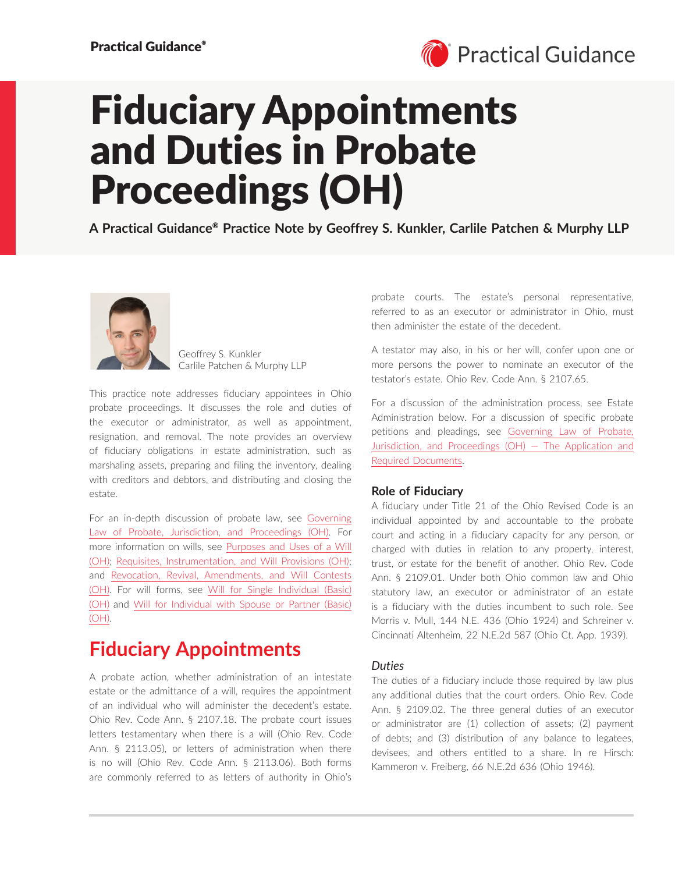

# Fiduciary Appointments and Duties in Probate Proceedings (OH)

**A Practical Guidance**® **Practice Note by Geoffrey S. Kunkler, Carlile Patchen & Murphy LLP**



Geoffrey S. Kunkler Carlile Patchen & Murphy LLP

This practice note addresses fiduciary appointees in Ohio probate proceedings. It discusses the role and duties of the executor or administrator, as well as appointment, resignation, and removal. The note provides an overview of fiduciary obligations in estate administration, such as marshaling assets, preparing and filing the inventory, dealing with creditors and debtors, and distributing and closing the estate.

For an in-depth discussion of probate law, see [Governing](https://advance.lexis.com/open/document/lpadocument/?pdmfid=1000522&pddocfullpath=%2Fshared%2Fdocument%2Fanalytical-materials%2Furn%3AcontentItem%3A61H9-5GM1-FCYK-2517-00000-00&pdcontentcomponentid=500754&pdteaserkey=sr0&pditab=allpods&ecomp=qtrg&earg=sr0)  [Law of Probate, Jurisdiction, and Proceedings \(OH\)](https://advance.lexis.com/open/document/lpadocument/?pdmfid=1000522&pddocfullpath=%2Fshared%2Fdocument%2Fanalytical-materials%2Furn%3AcontentItem%3A61H9-5GM1-FCYK-2517-00000-00&pdcontentcomponentid=500754&pdteaserkey=sr0&pditab=allpods&ecomp=qtrg&earg=sr0). For more information on wills, see [Purposes and Uses of a Will](https://advance.lexis.com/open/document/lpadocument/?pdmfid=1000522&pddocfullpath=%2Fshared%2Fdocument%2Fanalytical-materials%2Furn%3AcontentItem%3A61H9-5GM1-FCYK-2515-00000-00&pdcontentcomponentid=500754&pdteaserkey=sr0&pditab=allpods&ecomp=qtrg&earg=sr0)  [\(OH\)](https://advance.lexis.com/open/document/lpadocument/?pdmfid=1000522&pddocfullpath=%2Fshared%2Fdocument%2Fanalytical-materials%2Furn%3AcontentItem%3A61H9-5GM1-FCYK-2515-00000-00&pdcontentcomponentid=500754&pdteaserkey=sr0&pditab=allpods&ecomp=qtrg&earg=sr0); [Requisites, Instrumentation, and Will Provisions \(OH\);](https://advance.lexis.com/open/document/lpadocument/?pdmfid=1000522&pddocfullpath=%2Fshared%2Fdocument%2Fanalytical-materials%2Furn%3AcontentItem%3A61H9-5GM1-FCYK-2510-00000-00&pdcontentcomponentid=500754&pdteaserkey=sr0&pditab=allpods&ecomp=qtrg&earg=sr0) and [Revocation, Revival, Amendments, and Will Contests](https://advance.lexis.com/open/document/lpadocument/?pdmfid=1000522&pddocfullpath=%2Fshared%2Fdocument%2Fanalytical-materials%2Furn%3AcontentItem%3A61H9-5GM1-FCYK-2512-00000-00&pdcontentcomponentid=500754&pdteaserkey=sr0&pditab=allpods&ecomp=qtrg&earg=sr0)  [\(OH\)](https://advance.lexis.com/open/document/lpadocument/?pdmfid=1000522&pddocfullpath=%2Fshared%2Fdocument%2Fanalytical-materials%2Furn%3AcontentItem%3A61H9-5GM1-FCYK-2512-00000-00&pdcontentcomponentid=500754&pdteaserkey=sr0&pditab=allpods&ecomp=qtrg&earg=sr0). For will forms, see [Will for Single Individual \(Basic\)](https://advance.lexis.com/open/document/lpadocument/?pdmfid=1000522&pddocfullpath=%2Fshared%2Fdocument%2Fforms%2Furn%3AcontentItem%3A61H4-V4P1-JB7K-23D7-00000-00&pdcontentcomponentid=500757&pdteaserkey=sr0&pditab=allpods&ecomp=qtrg&earg=sr0) [\(OH\)](https://advance.lexis.com/open/document/lpadocument/?pdmfid=1000522&pddocfullpath=%2Fshared%2Fdocument%2Fforms%2Furn%3AcontentItem%3A61H4-V4P1-JB7K-23D7-00000-00&pdcontentcomponentid=500757&pdteaserkey=sr0&pditab=allpods&ecomp=qtrg&earg=sr0) and [Will for Individual with Spouse or Partner \(Basic\)](https://advance.lexis.com/open/document/lpadocument/?pdmfid=1000522&pddocfullpath=%2Fshared%2Fdocument%2Fforms%2Furn%3AcontentItem%3A61HB-P6D1-JBM1-M2W0-00000-00&pdcontentcomponentid=500757&pdteaserkey=sr0&pditab=allpods&ecomp=qtrg&earg=sr0)  [\(OH\)](https://advance.lexis.com/open/document/lpadocument/?pdmfid=1000522&pddocfullpath=%2Fshared%2Fdocument%2Fforms%2Furn%3AcontentItem%3A61HB-P6D1-JBM1-M2W0-00000-00&pdcontentcomponentid=500757&pdteaserkey=sr0&pditab=allpods&ecomp=qtrg&earg=sr0).

# **Fiduciary Appointments**

A probate action, whether administration of an intestate estate or the admittance of a will, requires the appointment of an individual who will administer the decedent's estate. Ohio Rev. Code Ann. § 2107.18. The probate court issues letters testamentary when there is a will (Ohio Rev. Code Ann. § 2113.05), or letters of administration when there is no will (Ohio Rev. Code Ann. § 2113.06). Both forms are commonly referred to as letters of authority in Ohio's probate courts. The estate's personal representative, referred to as an executor or administrator in Ohio, must then administer the estate of the decedent.

A testator may also, in his or her will, confer upon one or more persons the power to nominate an executor of the testator's estate. Ohio Rev. Code Ann. § 2107.65.

For a discussion of the administration process, see Estate Administration below. For a discussion of specific probate petitions and pleadings, see [Governing Law of Probate,](https://advance.lexis.com/open/document/lpadocument/?pdmfid=1000522&pddocfullpath=%2Fshared%2Fdocument%2Fanalytical-materials%2Furn%3AcontentItem%3A61H9-5GM1-FCYK-2517-00000-00&pdcontentcomponentid=500754&pdteaserkey=sr0&pditab=allpods&ecomp=qtrg&earg=sr0)  [Jurisdiction, and Proceedings \(OH\) — The Application and](https://advance.lexis.com/open/document/lpadocument/?pdmfid=1000522&pddocfullpath=%2Fshared%2Fdocument%2Fanalytical-materials%2Furn%3AcontentItem%3A61H9-5GM1-FCYK-2517-00000-00&pdcontentcomponentid=500754&pdteaserkey=sr0&pditab=allpods&ecomp=qtrg&earg=sr0)  [Required Documents](https://advance.lexis.com/open/document/lpadocument/?pdmfid=1000522&pddocfullpath=%2Fshared%2Fdocument%2Fanalytical-materials%2Furn%3AcontentItem%3A61H9-5GM1-FCYK-2517-00000-00&pdcontentcomponentid=500754&pdteaserkey=sr0&pditab=allpods&ecomp=qtrg&earg=sr0).

# **Role of Fiduciary**

A fiduciary under Title 21 of the Ohio Revised Code is an individual appointed by and accountable to the probate court and acting in a fiduciary capacity for any person, or charged with duties in relation to any property, interest, trust, or estate for the benefit of another. Ohio Rev. Code Ann. § 2109.01. Under both Ohio common law and Ohio statutory law, an executor or administrator of an estate is a fiduciary with the duties incumbent to such role. See Morris v. Mull, 144 N.E. 436 (Ohio 1924) and Schreiner v. Cincinnati Altenheim, 22 N.E.2d 587 (Ohio Ct. App. 1939).

# *Duties*

The duties of a fiduciary include those required by law plus any additional duties that the court orders. Ohio Rev. Code Ann. § 2109.02. The three general duties of an executor or administrator are (1) collection of assets; (2) payment of debts; and (3) distribution of any balance to legatees, devisees, and others entitled to a share. In re Hirsch: Kammeron v. Freiberg, 66 N.E.2d 636 (Ohio 1946).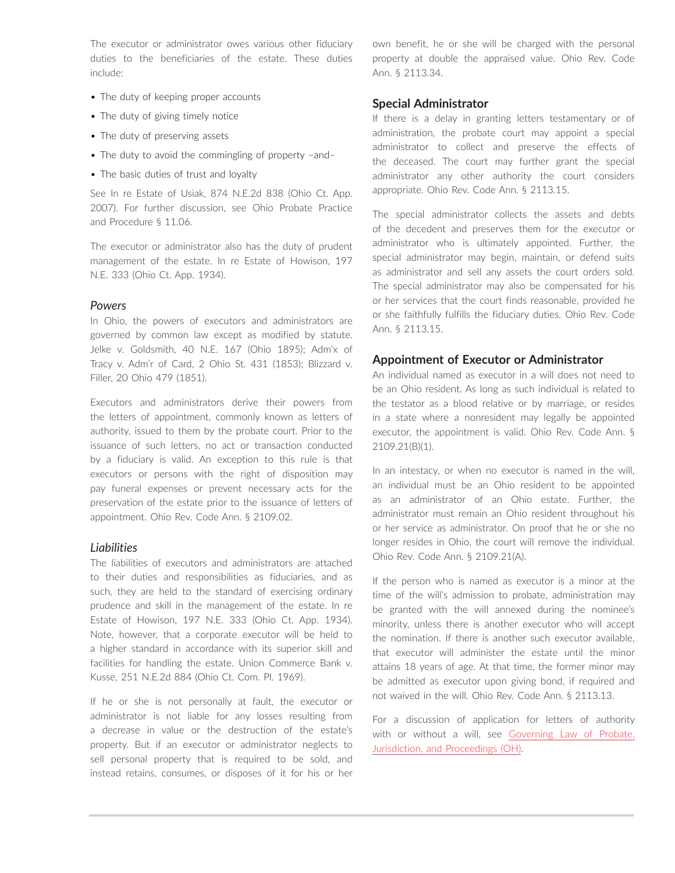The executor or administrator owes various other fiduciary duties to the beneficiaries of the estate. These duties include:

- The duty of keeping proper accounts
- The duty of giving timely notice
- The duty of preserving assets
- The duty to avoid the commingling of property –and–
- The basic duties of trust and loyalty

See In re Estate of Usiak, 874 N.E.2d 838 (Ohio Ct. App. 2007). For further discussion, see Ohio Probate Practice and Procedure § 11.06.

The executor or administrator also has the duty of prudent management of the estate. In re Estate of Howison, 197 N.E. 333 (Ohio Ct. App. 1934).

# *Powers*

In Ohio, the powers of executors and administrators are governed by common law except as modified by statute. Jelke v. Goldsmith, 40 N.E. 167 (Ohio 1895); Adm'x of Tracy v. Adm'r of Card, 2 Ohio St. 431 (1853); Blizzard v. Filler, 20 Ohio 479 (1851).

Executors and administrators derive their powers from the letters of appointment, commonly known as letters of authority, issued to them by the probate court. Prior to the issuance of such letters, no act or transaction conducted by a fiduciary is valid. An exception to this rule is that executors or persons with the right of disposition may pay funeral expenses or prevent necessary acts for the preservation of the estate prior to the issuance of letters of appointment. Ohio Rev. Code Ann. § 2109.02.

# *Liabilities*

The liabilities of executors and administrators are attached to their duties and responsibilities as fiduciaries, and as such, they are held to the standard of exercising ordinary prudence and skill in the management of the estate. In re Estate of Howison, 197 N.E. 333 (Ohio Ct. App. 1934). Note, however, that a corporate executor will be held to a higher standard in accordance with its superior skill and facilities for handling the estate. Union Commerce Bank v. Kusse, 251 N.E.2d 884 (Ohio Ct. Com. Pl. 1969).

If he or she is not personally at fault, the executor or administrator is not liable for any losses resulting from a decrease in value or the destruction of the estate's property. But if an executor or administrator neglects to sell personal property that is required to be sold, and instead retains, consumes, or disposes of it for his or her own benefit, he or she will be charged with the personal property at double the appraised value. Ohio Rev. Code Ann. § 2113.34.

# **Special Administrator**

If there is a delay in granting letters testamentary or of administration, the probate court may appoint a special administrator to collect and preserve the effects of the deceased. The court may further grant the special administrator any other authority the court considers appropriate. Ohio Rev. Code Ann. § 2113.15.

The special administrator collects the assets and debts of the decedent and preserves them for the executor or administrator who is ultimately appointed. Further, the special administrator may begin, maintain, or defend suits as administrator and sell any assets the court orders sold. The special administrator may also be compensated for his or her services that the court finds reasonable, provided he or she faithfully fulfills the fiduciary duties. Ohio Rev. Code Ann. § 2113.15.

# **Appointment of Executor or Administrator**

An individual named as executor in a will does not need to be an Ohio resident. As long as such individual is related to the testator as a blood relative or by marriage, or resides in a state where a nonresident may legally be appointed executor, the appointment is valid. Ohio Rev. Code Ann. § 2109.21(B)(1).

In an intestacy, or when no executor is named in the will, an individual must be an Ohio resident to be appointed as an administrator of an Ohio estate. Further, the administrator must remain an Ohio resident throughout his or her service as administrator. On proof that he or she no longer resides in Ohio, the court will remove the individual. Ohio Rev. Code Ann. § 2109.21(A).

If the person who is named as executor is a minor at the time of the will's admission to probate, administration may be granted with the will annexed during the nominee's minority, unless there is another executor who will accept the nomination. If there is another such executor available, that executor will administer the estate until the minor attains 18 years of age. At that time, the former minor may be admitted as executor upon giving bond, if required and not waived in the will. Ohio Rev. Code Ann. § 2113.13.

For a discussion of application for letters of authority with or without a will, see [Governing Law of Probate,](https://advance.lexis.com/open/document/lpadocument/?pdmfid=1000522&pddocfullpath=%2Fshared%2Fdocument%2Fanalytical-materials%2Furn%3AcontentItem%3A61H9-5GM1-FCYK-2517-00000-00&pdcontentcomponentid=500754&pdteaserkey=sr0&pditab=allpods&ecomp=qtrg&earg=sr0)  [Jurisdiction, and Proceedings \(OH\).](https://advance.lexis.com/open/document/lpadocument/?pdmfid=1000522&pddocfullpath=%2Fshared%2Fdocument%2Fanalytical-materials%2Furn%3AcontentItem%3A61H9-5GM1-FCYK-2517-00000-00&pdcontentcomponentid=500754&pdteaserkey=sr0&pditab=allpods&ecomp=qtrg&earg=sr0)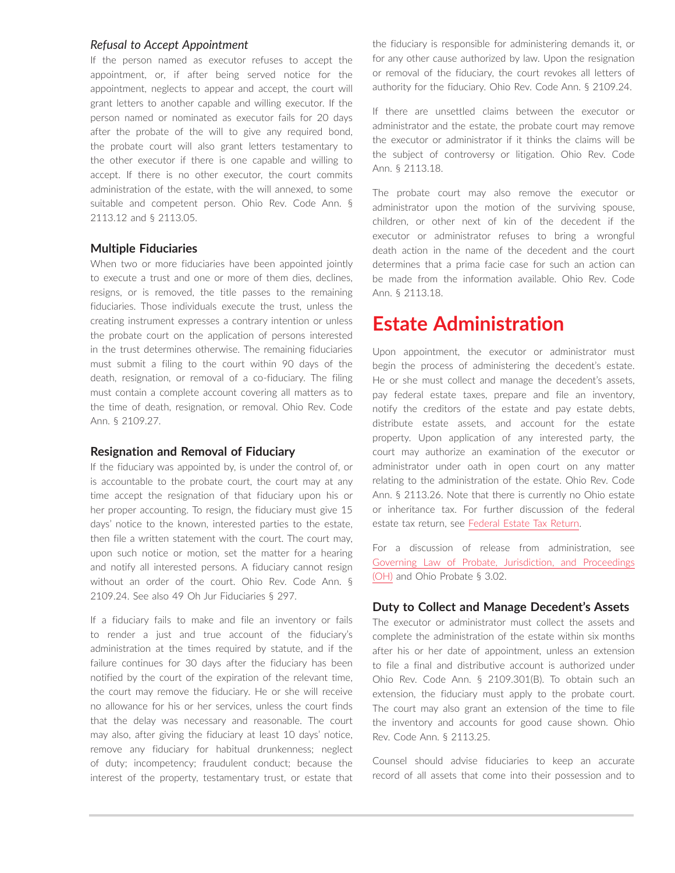#### *Refusal to Accept Appointment*

If the person named as executor refuses to accept the appointment, or, if after being served notice for the appointment, neglects to appear and accept, the court will grant letters to another capable and willing executor. If the person named or nominated as executor fails for 20 days after the probate of the will to give any required bond, the probate court will also grant letters testamentary to the other executor if there is one capable and willing to accept. If there is no other executor, the court commits administration of the estate, with the will annexed, to some suitable and competent person. Ohio Rev. Code Ann. § 2113.12 and § 2113.05.

# **Multiple Fiduciaries**

When two or more fiduciaries have been appointed jointly to execute a trust and one or more of them dies, declines, resigns, or is removed, the title passes to the remaining fiduciaries. Those individuals execute the trust, unless the creating instrument expresses a contrary intention or unless the probate court on the application of persons interested in the trust determines otherwise. The remaining fiduciaries must submit a filing to the court within 90 days of the death, resignation, or removal of a co-fiduciary. The filing must contain a complete account covering all matters as to the time of death, resignation, or removal. Ohio Rev. Code Ann. § 2109.27.

# **Resignation and Removal of Fiduciary**

If the fiduciary was appointed by, is under the control of, or is accountable to the probate court, the court may at any time accept the resignation of that fiduciary upon his or her proper accounting. To resign, the fiduciary must give 15 days' notice to the known, interested parties to the estate, then file a written statement with the court. The court may, upon such notice or motion, set the matter for a hearing and notify all interested persons. A fiduciary cannot resign without an order of the court. Ohio Rev. Code Ann. § 2109.24. See also 49 Oh Jur Fiduciaries § 297.

If a fiduciary fails to make and file an inventory or fails to render a just and true account of the fiduciary's administration at the times required by statute, and if the failure continues for 30 days after the fiduciary has been notified by the court of the expiration of the relevant time, the court may remove the fiduciary. He or she will receive no allowance for his or her services, unless the court finds that the delay was necessary and reasonable. The court may also, after giving the fiduciary at least 10 days' notice, remove any fiduciary for habitual drunkenness; neglect of duty; incompetency; fraudulent conduct; because the interest of the property, testamentary trust, or estate that

the fiduciary is responsible for administering demands it, or for any other cause authorized by law. Upon the resignation or removal of the fiduciary, the court revokes all letters of authority for the fiduciary. Ohio Rev. Code Ann. § 2109.24.

If there are unsettled claims between the executor or administrator and the estate, the probate court may remove the executor or administrator if it thinks the claims will be the subject of controversy or litigation. Ohio Rev. Code Ann. § 2113.18.

The probate court may also remove the executor or administrator upon the motion of the surviving spouse, children, or other next of kin of the decedent if the executor or administrator refuses to bring a wrongful death action in the name of the decedent and the court determines that a prima facie case for such an action can be made from the information available. Ohio Rev. Code Ann. § 2113.18.

# **Estate Administration**

Upon appointment, the executor or administrator must begin the process of administering the decedent's estate. He or she must collect and manage the decedent's assets, pay federal estate taxes, prepare and file an inventory, notify the creditors of the estate and pay estate debts, distribute estate assets, and account for the estate property. Upon application of any interested party, the court may authorize an examination of the executor or administrator under oath in open court on any matter relating to the administration of the estate. Ohio Rev. Code Ann. § 2113.26. Note that there is currently no Ohio estate or inheritance tax. For further discussion of the federal estate tax return, see [Federal Estate Tax Return.](https://advance.lexis.com/open/document/lpadocument/?pdmfid=1000522&pddocfullpath=%2Fshared%2Fdocument%2Fanalytical-materials%2Furn%3AcontentItem%3A5VMJ-CC41-F8D9-M4WN-00000-00&pdcontentcomponentid=500754&pdteaserkey=sr0&pditab=allpods&ecomp=qtrg&earg=sr0)

For a discussion of release from administration, see [Governing Law of Probate, Jurisdiction, and Proceedings](https://advance.lexis.com/open/document/lpadocument/?pdmfid=1000522&pddocfullpath=%2Fshared%2Fdocument%2Fanalytical-materials%2Furn%3AcontentItem%3A61H9-5GM1-FCYK-2517-00000-00&pdcontentcomponentid=500754&pdteaserkey=sr0&pditab=allpods&ecomp=qtrg&earg=sr0)  [\(OH\)](https://advance.lexis.com/open/document/lpadocument/?pdmfid=1000522&pddocfullpath=%2Fshared%2Fdocument%2Fanalytical-materials%2Furn%3AcontentItem%3A61H9-5GM1-FCYK-2517-00000-00&pdcontentcomponentid=500754&pdteaserkey=sr0&pditab=allpods&ecomp=qtrg&earg=sr0) and Ohio Probate § 3.02.

# **Duty to Collect and Manage Decedent's Assets**

The executor or administrator must collect the assets and complete the administration of the estate within six months after his or her date of appointment, unless an extension to file a final and distributive account is authorized under Ohio Rev. Code Ann. § 2109.301(B). To obtain such an extension, the fiduciary must apply to the probate court. The court may also grant an extension of the time to file the inventory and accounts for good cause shown. Ohio Rev. Code Ann. § 2113.25.

Counsel should advise fiduciaries to keep an accurate record of all assets that come into their possession and to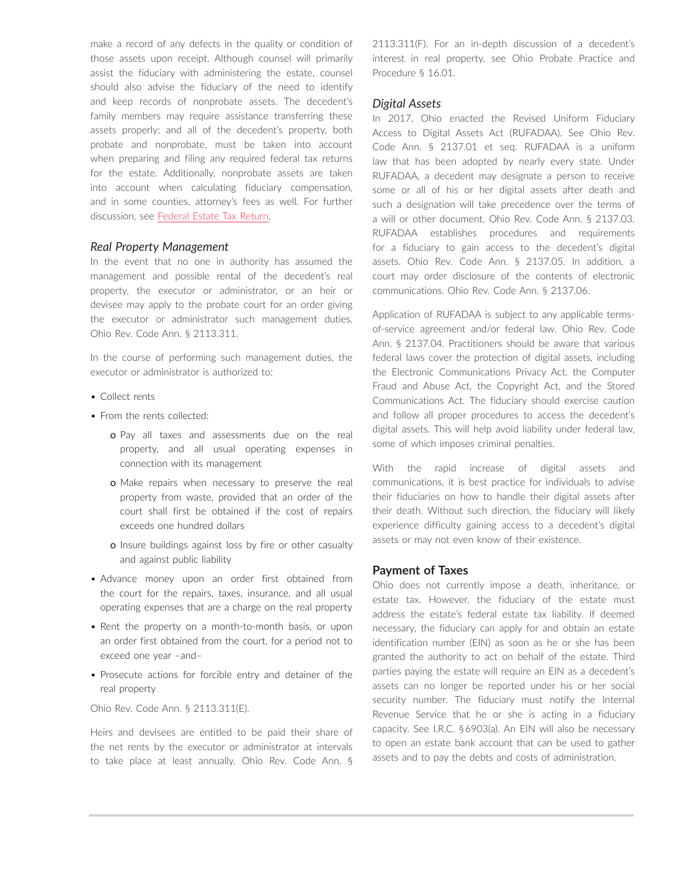make a record of any defects in the quality or condition of those assets upon receipt. Although counsel will primarily assist the fiduciary with administering the estate, counsel should also advise the fiduciary of the need to identify and keep records of nonprobate assets. The decedent's family members may require assistance transferring these assets properly; and all of the decedent's property, both probate and nonprobate, must be taken into account when preparing and filing any required federal tax returns for the estate. Additionally, nonprobate assets are taken into account when calculating fiduciary compensation, and in some counties, attorney's fees as well. For further discussion, see [Federal Estate Tax Return.](https://advance.lexis.com/open/document/lpadocument/?pdmfid=1000522&pddocfullpath=%2Fshared%2Fdocument%2Fanalytical-materials%2Furn%3AcontentItem%3A5VMJ-CC41-F8D9-M4WN-00000-00&pdcontentcomponentid=500754&pdteaserkey=sr0&pditab=allpods&ecomp=qtrg&earg=sr0)

#### *Real Property Management*

In the event that no one in authority has assumed the management and possible rental of the decedent's real property, the executor or administrator, or an heir or devisee may apply to the probate court for an order giving the executor or administrator such management duties. Ohio Rev. Code Ann. § 2113.311.

In the course of performing such management duties, the executor or administrator is authorized to:

- Collect rents
- From the rents collected:
	- o Pay all taxes and assessments due on the real property, and all usual operating expenses in connection with its management
	- o Make repairs when necessary to preserve the real property from waste, provided that an order of the court shall first be obtained if the cost of repairs exceeds one hundred dollars
	- o Insure buildings against loss by fire or other casualty and against public liability
- Advance money upon an order first obtained from the court for the repairs, taxes, insurance, and all usual operating expenses that are a charge on the real property
- Rent the property on a month-to-month basis, or upon an order first obtained from the court, for a period not to exceed one year –and–
- Prosecute actions for forcible entry and detainer of the real property

#### Ohio Rev. Code Ann. § 2113.311(E).

Heirs and devisees are entitled to be paid their share of the net rents by the executor or administrator at intervals to take place at least annually. Ohio Rev. Code Ann. § 2113.311(F). For an in-depth discussion of a decedent's interest in real property, see Ohio Probate Practice and Procedure § 16.01.

#### *Digital Assets*

In 2017, Ohio enacted the Revised Uniform Fiduciary Access to Digital Assets Act (RUFADAA). See Ohio Rev. Code Ann. § 2137.01 et seq. RUFADAA is a uniform law that has been adopted by nearly every state. Under RUFADAA, a decedent may designate a person to receive some or all of his or her digital assets after death and such a designation will take precedence over the terms of a will or other document. Ohio Rev. Code Ann. § 2137.03. RUFADAA establishes procedures and requirements for a fiduciary to gain access to the decedent's digital assets. Ohio Rev. Code Ann. § 2137.05. In addition, a court may order disclosure of the contents of electronic communications. Ohio Rev. Code Ann. § 2137.06.

Application of RUFADAA is subject to any applicable termsof-service agreement and/or federal law. Ohio Rev. Code Ann. § 2137.04. Practitioners should be aware that various federal laws cover the protection of digital assets, including the Electronic Communications Privacy Act, the Computer Fraud and Abuse Act, the Copyright Act, and the Stored Communications Act. The fiduciary should exercise caution and follow all proper procedures to access the decedent's digital assets. This will help avoid liability under federal law, some of which imposes criminal penalties.

With the rapid increase of digital assets and communications, it is best practice for individuals to advise their fiduciaries on how to handle their digital assets after their death. Without such direction, the fiduciary will likely experience difficulty gaining access to a decedent's digital assets or may not even know of their existence.

# **Payment of Taxes**

Ohio does not currently impose a death, inheritance, or estate tax. However, the fiduciary of the estate must address the estate's federal estate tax liability. If deemed necessary, the fiduciary can apply for and obtain an estate identification number (EIN) as soon as he or she has been granted the authority to act on behalf of the estate. Third parties paying the estate will require an EIN as a decedent's assets can no longer be reported under his or her social security number. The fiduciary must notify the Internal Revenue Service that he or she is acting in a fiduciary capacity. See I.R.C. § 6903(a). An EIN will also be necessary to open an estate bank account that can be used to gather assets and to pay the debts and costs of administration.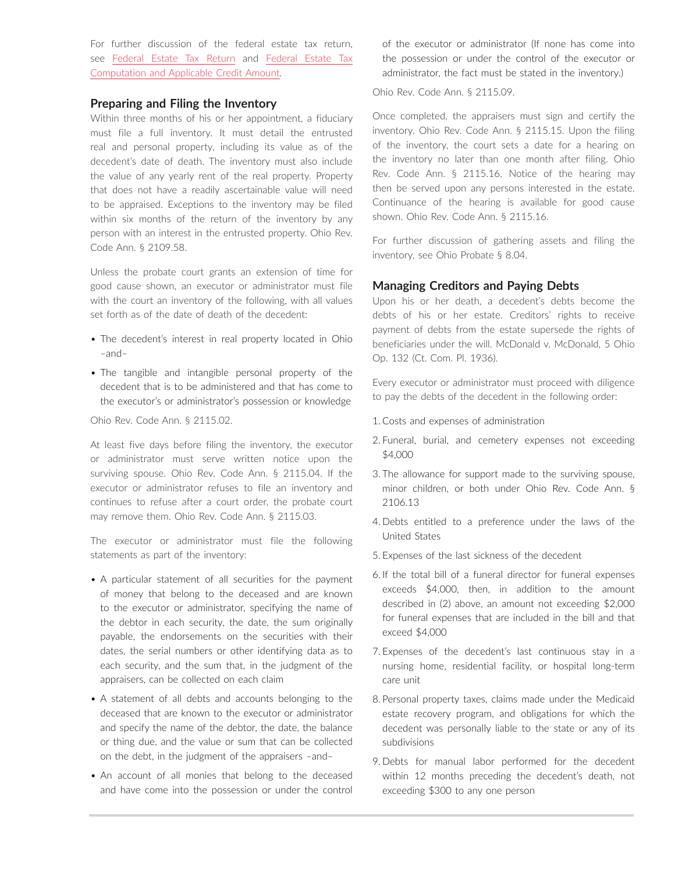For further discussion of the federal estate tax return, see [Federal Estate Tax Return](https://advance.lexis.com/open/document/lpadocument/?pdmfid=1000522&pddocfullpath=%2Fshared%2Fdocument%2Fanalytical-materials%2Furn%3AcontentItem%3A5VMJ-CC41-F8D9-M4WN-00000-00&pdcontentcomponentid=500754&pdteaserkey=sr0&pditab=allpods&ecomp=qtrg&earg=sr0) and [Federal Estate Tax](https://advance.lexis.com/open/document/lpadocument/?pdmfid=1000522&pddocfullpath=%2Fshared%2Fdocument%2Fanalytical-materials%2Furn%3AcontentItem%3A5TBR-6PP1-JBM1-M33G-00000-00&pdcontentcomponentid=500754&pdteaserkey=sr0&pditab=allpods&ecomp=qtrg&earg=sr0) [Computation and Applicable Credit Amount.](https://advance.lexis.com/open/document/lpadocument/?pdmfid=1000522&pddocfullpath=%2Fshared%2Fdocument%2Fanalytical-materials%2Furn%3AcontentItem%3A5TBR-6PP1-JBM1-M33G-00000-00&pdcontentcomponentid=500754&pdteaserkey=sr0&pditab=allpods&ecomp=qtrg&earg=sr0)

#### **Preparing and Filing the Inventory**

Within three months of his or her appointment, a fiduciary must file a full inventory. It must detail the entrusted real and personal property, including its value as of the decedent's date of death. The inventory must also include the value of any yearly rent of the real property. Property that does not have a readily ascertainable value will need to be appraised. Exceptions to the inventory may be filed within six months of the return of the inventory by any person with an interest in the entrusted property. Ohio Rev. Code Ann. § 2109.58.

Unless the probate court grants an extension of time for good cause shown, an executor or administrator must file with the court an inventory of the following, with all values set forth as of the date of death of the decedent:

- The decedent's interest in real property located in Ohio –and–
- The tangible and intangible personal property of the decedent that is to be administered and that has come to the executor's or administrator's possession or knowledge

Ohio Rev. Code Ann. § 2115.02.

At least five days before filing the inventory, the executor or administrator must serve written notice upon the surviving spouse. Ohio Rev. Code Ann. § 2115.04. If the executor or administrator refuses to file an inventory and continues to refuse after a court order, the probate court may remove them. Ohio Rev. Code Ann. § 2115.03.

The executor or administrator must file the following statements as part of the inventory:

- A particular statement of all securities for the payment of money that belong to the deceased and are known to the executor or administrator, specifying the name of the debtor in each security, the date, the sum originally payable, the endorsements on the securities with their dates, the serial numbers or other identifying data as to each security, and the sum that, in the judgment of the appraisers, can be collected on each claim
- A statement of all debts and accounts belonging to the deceased that are known to the executor or administrator and specify the name of the debtor, the date, the balance or thing due, and the value or sum that can be collected on the debt, in the judgment of the appraisers –and–
- An account of all monies that belong to the deceased and have come into the possession or under the control

of the executor or administrator (If none has come into the possession or under the control of the executor or administrator, the fact must be stated in the inventory.)

Ohio Rev. Code Ann. § 2115.09.

Once completed, the appraisers must sign and certify the inventory. Ohio Rev. Code Ann. § 2115.15. Upon the filing of the inventory, the court sets a date for a hearing on the inventory no later than one month after filing. Ohio Rev. Code Ann. § 2115.16. Notice of the hearing may then be served upon any persons interested in the estate. Continuance of the hearing is available for good cause shown. Ohio Rev. Code Ann. § 2115.16.

For further discussion of gathering assets and filing the inventory, see Ohio Probate § 8.04.

# **Managing Creditors and Paying Debts**

Upon his or her death, a decedent's debts become the debts of his or her estate. Creditors' rights to receive payment of debts from the estate supersede the rights of beneficiaries under the will. McDonald v. McDonald, 5 Ohio Op. 132 (Ct. Com. Pl. 1936).

Every executor or administrator must proceed with diligence to pay the debts of the decedent in the following order:

- 1. Costs and expenses of administration
- 2. Funeral, burial, and cemetery expenses not exceeding \$4,000
- 3. The allowance for support made to the surviving spouse, minor children, or both under Ohio Rev. Code Ann. § 2106.13
- 4. Debts entitled to a preference under the laws of the United States
- 5. Expenses of the last sickness of the decedent
- 6. If the total bill of a funeral director for funeral expenses exceeds \$4,000, then, in addition to the amount described in (2) above, an amount not exceeding \$2,000 for funeral expenses that are included in the bill and that exceed \$4,000
- 7. Expenses of the decedent's last continuous stay in a nursing home, residential facility, or hospital long-term care unit
- 8. Personal property taxes, claims made under the Medicaid estate recovery program, and obligations for which the decedent was personally liable to the state or any of its subdivisions
- 9. Debts for manual labor performed for the decedent within 12 months preceding the decedent's death, not exceeding \$300 to any one person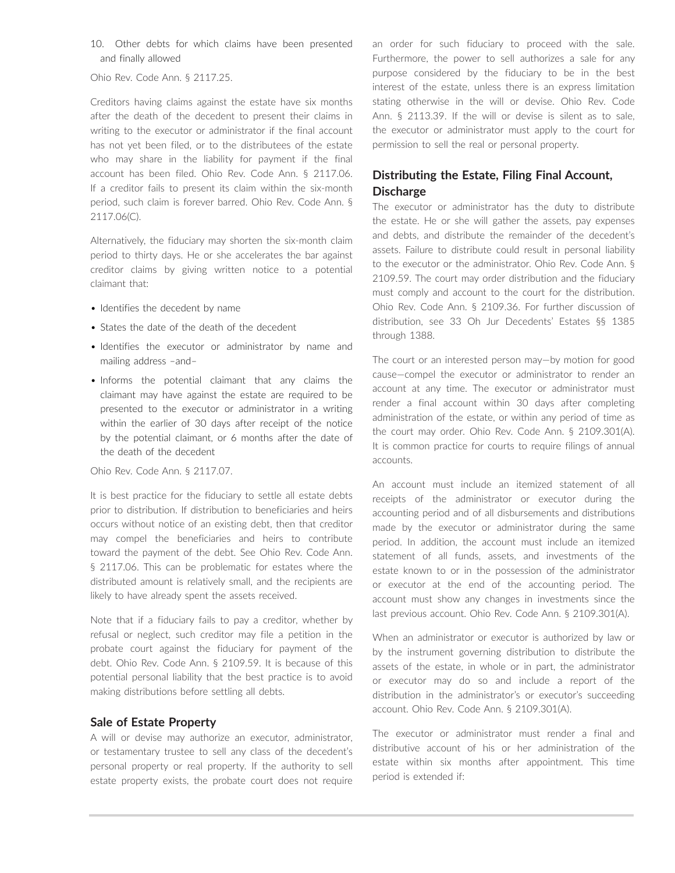10. Other debts for which claims have been presented and finally allowed

Ohio Rev. Code Ann. § 2117.25.

Creditors having claims against the estate have six months after the death of the decedent to present their claims in writing to the executor or administrator if the final account has not yet been filed, or to the distributees of the estate who may share in the liability for payment if the final account has been filed. Ohio Rev. Code Ann. § 2117.06. If a creditor fails to present its claim within the six-month period, such claim is forever barred. Ohio Rev. Code Ann. § 2117.06(C).

Alternatively, the fiduciary may shorten the six-month claim period to thirty days. He or she accelerates the bar against creditor claims by giving written notice to a potential claimant that:

- Identifies the decedent by name
- States the date of the death of the decedent
- Identifies the executor or administrator by name and mailing address –and–
- Informs the potential claimant that any claims the claimant may have against the estate are required to be presented to the executor or administrator in a writing within the earlier of 30 days after receipt of the notice by the potential claimant, or 6 months after the date of the death of the decedent

Ohio Rev. Code Ann. § 2117.07.

It is best practice for the fiduciary to settle all estate debts prior to distribution. If distribution to beneficiaries and heirs occurs without notice of an existing debt, then that creditor may compel the beneficiaries and heirs to contribute toward the payment of the debt. See Ohio Rev. Code Ann. § 2117.06. This can be problematic for estates where the distributed amount is relatively small, and the recipients are likely to have already spent the assets received.

Note that if a fiduciary fails to pay a creditor, whether by refusal or neglect, such creditor may file a petition in the probate court against the fiduciary for payment of the debt. Ohio Rev. Code Ann. § 2109.59. It is because of this potential personal liability that the best practice is to avoid making distributions before settling all debts.

# **Sale of Estate Property**

A will or devise may authorize an executor, administrator, or testamentary trustee to sell any class of the decedent's personal property or real property. If the authority to sell estate property exists, the probate court does not require an order for such fiduciary to proceed with the sale. Furthermore, the power to sell authorizes a sale for any purpose considered by the fiduciary to be in the best interest of the estate, unless there is an express limitation stating otherwise in the will or devise. Ohio Rev. Code Ann. § 2113.39. If the will or devise is silent as to sale, the executor or administrator must apply to the court for permission to sell the real or personal property.

# **Distributing the Estate, Filing Final Account, Discharge**

The executor or administrator has the duty to distribute the estate. He or she will gather the assets, pay expenses and debts, and distribute the remainder of the decedent's assets. Failure to distribute could result in personal liability to the executor or the administrator. Ohio Rev. Code Ann. § 2109.59. The court may order distribution and the fiduciary must comply and account to the court for the distribution. Ohio Rev. Code Ann. § 2109.36. For further discussion of distribution, see 33 Oh Jur Decedents' Estates §§ 1385 through 1388.

The court or an interested person may—by motion for good cause—compel the executor or administrator to render an account at any time. The executor or administrator must render a final account within 30 days after completing administration of the estate, or within any period of time as the court may order. Ohio Rev. Code Ann. § 2109.301(A). It is common practice for courts to require filings of annual accounts.

An account must include an itemized statement of all receipts of the administrator or executor during the accounting period and of all disbursements and distributions made by the executor or administrator during the same period. In addition, the account must include an itemized statement of all funds, assets, and investments of the estate known to or in the possession of the administrator or executor at the end of the accounting period. The account must show any changes in investments since the last previous account. Ohio Rev. Code Ann. § 2109.301(A).

When an administrator or executor is authorized by law or by the instrument governing distribution to distribute the assets of the estate, in whole or in part, the administrator or executor may do so and include a report of the distribution in the administrator's or executor's succeeding account. Ohio Rev. Code Ann. § 2109.301(A).

The executor or administrator must render a final and distributive account of his or her administration of the estate within six months after appointment. This time period is extended if: